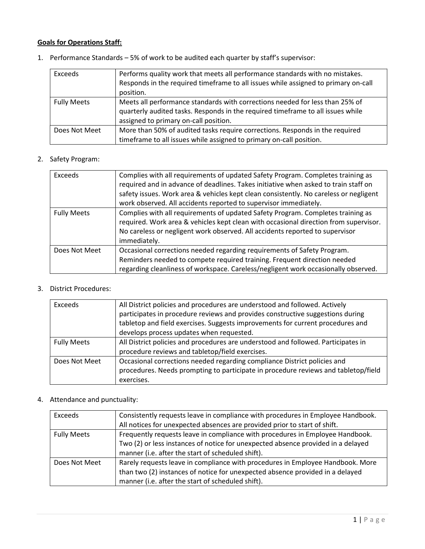## Goals for Operations Staff:

1. Performance Standards – 5% of work to be audited each quarter by staff's supervisor:

| Exceeds            | Performs quality work that meets all performance standards with no mistakes.       |
|--------------------|------------------------------------------------------------------------------------|
|                    | Responds in the required timeframe to all issues while assigned to primary on-call |
|                    | position.                                                                          |
| <b>Fully Meets</b> | Meets all performance standards with corrections needed for less than 25% of       |
|                    | quarterly audited tasks. Responds in the required timeframe to all issues while    |
|                    | assigned to primary on-call position.                                              |
| Does Not Meet      | More than 50% of audited tasks require corrections. Responds in the required       |
|                    | timeframe to all issues while assigned to primary on-call position.                |

## 2. Safety Program:

| Exceeds            | Complies with all requirements of updated Safety Program. Completes training as<br>required and in advance of deadlines. Takes initiative when asked to train staff on<br>safety issues. Work area & vehicles kept clean consistently. No careless or negligent<br>work observed. All accidents reported to supervisor immediately. |
|--------------------|-------------------------------------------------------------------------------------------------------------------------------------------------------------------------------------------------------------------------------------------------------------------------------------------------------------------------------------|
| <b>Fully Meets</b> | Complies with all requirements of updated Safety Program. Completes training as<br>required. Work area & vehicles kept clean with occasional direction from supervisor.<br>No careless or negligent work observed. All accidents reported to supervisor<br>immediately.                                                             |
| Does Not Meet      | Occasional corrections needed regarding requirements of Safety Program.<br>Reminders needed to compete required training. Frequent direction needed<br>regarding cleanliness of workspace. Careless/negligent work occasionally observed.                                                                                           |

#### 3. District Procedures:

| Exceeds            | All District policies and procedures are understood and followed. Actively<br>participates in procedure reviews and provides constructive suggestions during<br>tabletop and field exercises. Suggests improvements for current procedures and<br>develops process updates when requested. |
|--------------------|--------------------------------------------------------------------------------------------------------------------------------------------------------------------------------------------------------------------------------------------------------------------------------------------|
| <b>Fully Meets</b> | All District policies and procedures are understood and followed. Participates in<br>procedure reviews and tabletop/field exercises.                                                                                                                                                       |
| Does Not Meet      | Occasional corrections needed regarding compliance District policies and<br>procedures. Needs prompting to participate in procedure reviews and tabletop/field<br>exercises.                                                                                                               |

# 4. Attendance and punctuality:

| Exceeds            | Consistently requests leave in compliance with procedures in Employee Handbook.<br>All notices for unexpected absences are provided prior to start of shift.                                                           |
|--------------------|------------------------------------------------------------------------------------------------------------------------------------------------------------------------------------------------------------------------|
| <b>Fully Meets</b> | Frequently requests leave in compliance with procedures in Employee Handbook.<br>Two (2) or less instances of notice for unexpected absence provided in a delayed<br>manner (i.e. after the start of scheduled shift). |
| Does Not Meet      | Rarely requests leave in compliance with procedures in Employee Handbook. More<br>than two (2) instances of notice for unexpected absence provided in a delayed<br>manner (i.e. after the start of scheduled shift).   |